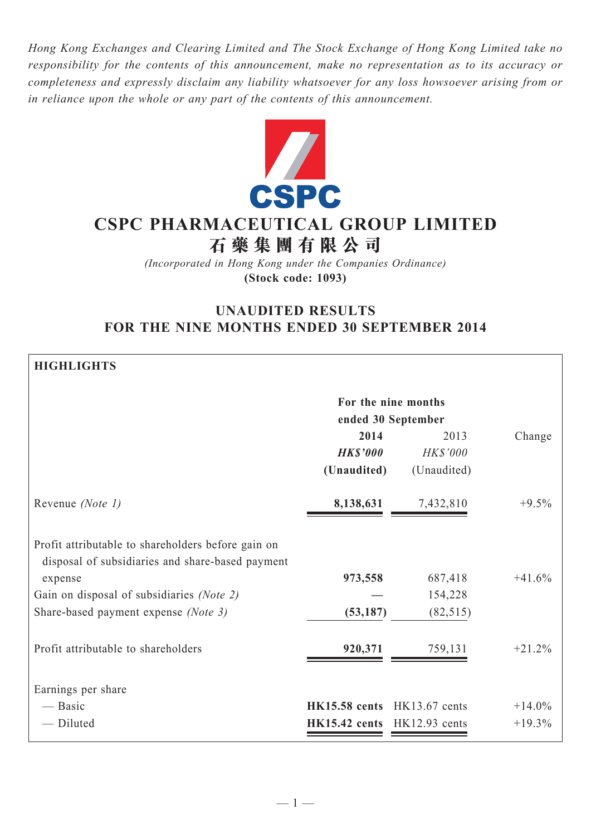*Hong Kong Exchanges and Clearing Limited and The Stock Exchange of Hong Kong Limited take no responsibility for the contents of this announcement, make no representation as to its accuracy or completeness and expressly disclaim any liability whatsoever for any loss howsoever arising from or in reliance upon the whole or any part of the contents of this announcement.*



# **CSPC Pharmaceutical Group Limited 石 藥 集 團 有 限 公 司**

*(Incorporated in Hong Kong under the Companies Ordinance)* **(Stock code: 1093)**

# **UNAUDITED RESULTS FOR THE NINE MONTHS ENDED 30 SEPTEMBER 2014**

| <b>HIGHLIGHTS</b>                                                                                      |                                 |                     |          |  |  |
|--------------------------------------------------------------------------------------------------------|---------------------------------|---------------------|----------|--|--|
|                                                                                                        |                                 | For the nine months |          |  |  |
|                                                                                                        | ended 30 September              |                     |          |  |  |
|                                                                                                        | 2014                            | 2013                | Change   |  |  |
|                                                                                                        | <b>HK\$'000</b>                 | HK\$'000            |          |  |  |
|                                                                                                        | (Unaudited)                     | (Unaudited)         |          |  |  |
| Revenue (Note 1)                                                                                       | 8,138,631                       | 7,432,810           | $+9.5%$  |  |  |
| Profit attributable to shareholders before gain on<br>disposal of subsidiaries and share-based payment |                                 |                     |          |  |  |
| expense                                                                                                | 973,558                         | 687,418             | $+41.6%$ |  |  |
| Gain on disposal of subsidiaries (Note 2)                                                              |                                 | 154,228             |          |  |  |
| Share-based payment expense (Note 3)                                                                   | (53, 187)                       | (82, 515)           |          |  |  |
| Profit attributable to shareholders                                                                    | 920,371                         | 759,131             | $+21.2%$ |  |  |
| Earnings per share                                                                                     |                                 |                     |          |  |  |
| — Basic                                                                                                | $HK15.58$ cents $HK13.67$ cents |                     | $+14.0%$ |  |  |
| - Diluted                                                                                              | HK15.42 cents HK12.93 cents     |                     | $+19.3%$ |  |  |
|                                                                                                        |                                 |                     |          |  |  |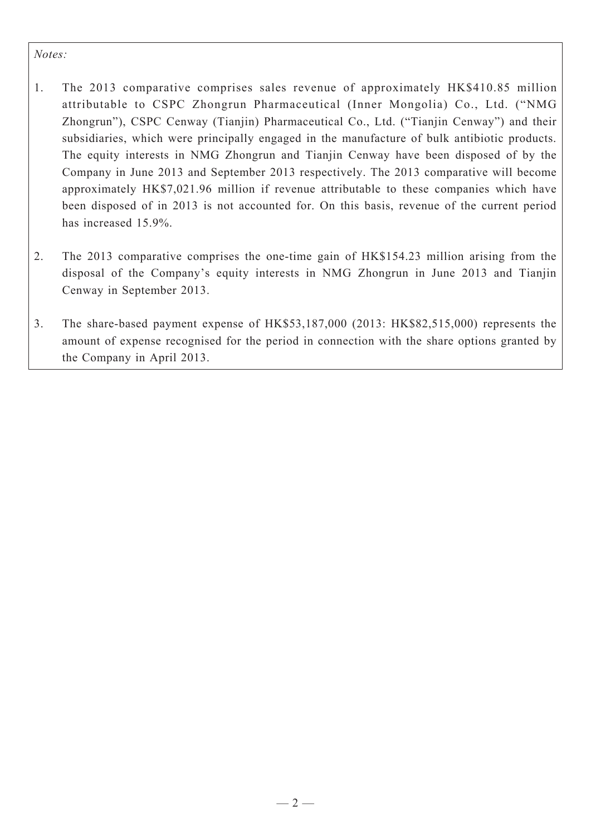### *Notes:*

- 1. The 2013 comparative comprises sales revenue of approximately HK\$410.85 million attributable to CSPC Zhongrun Pharmaceutical (Inner Mongolia) Co., Ltd. ("NMG Zhongrun"), CSPC Cenway (Tianjin) Pharmaceutical Co., Ltd. ("Tianjin Cenway") and their subsidiaries, which were principally engaged in the manufacture of bulk antibiotic products. The equity interests in NMG Zhongrun and Tianjin Cenway have been disposed of by the Company in June 2013 and September 2013 respectively. The 2013 comparative will become approximately HK\$7,021.96 million if revenue attributable to these companies which have been disposed of in 2013 is not accounted for. On this basis, revenue of the current period has increased 15.9%.
- 2. The 2013 comparative comprises the one-time gain of HK\$154.23 million arising from the disposal of the Company's equity interests in NMG Zhongrun in June 2013 and Tianjin Cenway in September 2013.
- 3. The share-based payment expense of HK\$53,187,000 (2013: HK\$82,515,000) represents the amount of expense recognised for the period in connection with the share options granted by the Company in April 2013.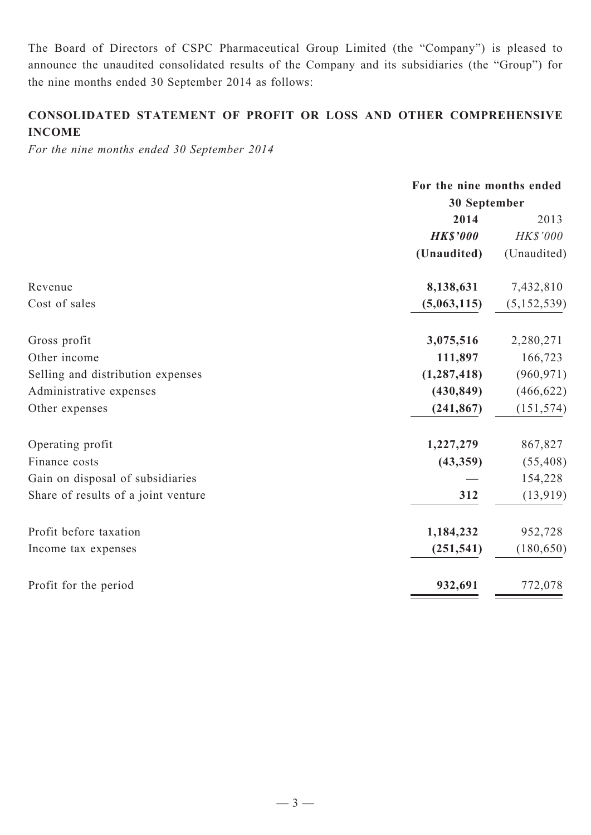The Board of Directors of CSPC Pharmaceutical Group Limited (the "Company") is pleased to announce the unaudited consolidated results of the Company and its subsidiaries (the "Group") for the nine months ended 30 September 2014 as follows:

# **CONSOLIDATED Statement of profit or loss and other comprehensive income**

*For the nine months ended 30 September 2014*

|                                     | For the nine months ended |               |  |
|-------------------------------------|---------------------------|---------------|--|
|                                     | 30 September              |               |  |
|                                     | 2014                      | 2013          |  |
|                                     | <b>HK\$'000</b>           | HK\$'000      |  |
|                                     | (Unaudited)               | (Unaudited)   |  |
| Revenue                             | 8,138,631                 | 7,432,810     |  |
| Cost of sales                       | (5,063,115)               | (5, 152, 539) |  |
| Gross profit                        | 3,075,516                 | 2,280,271     |  |
| Other income                        | 111,897                   | 166,723       |  |
| Selling and distribution expenses   | (1, 287, 418)             | (960, 971)    |  |
| Administrative expenses             | (430, 849)                | (466, 622)    |  |
| Other expenses                      | (241, 867)                | (151, 574)    |  |
| Operating profit                    | 1,227,279                 | 867,827       |  |
| Finance costs                       | (43, 359)                 | (55, 408)     |  |
| Gain on disposal of subsidiaries    |                           | 154,228       |  |
| Share of results of a joint venture | 312                       | (13, 919)     |  |
| Profit before taxation              | 1,184,232                 | 952,728       |  |
| Income tax expenses                 | (251, 541)                | (180, 650)    |  |
| Profit for the period               | 932,691                   | 772,078       |  |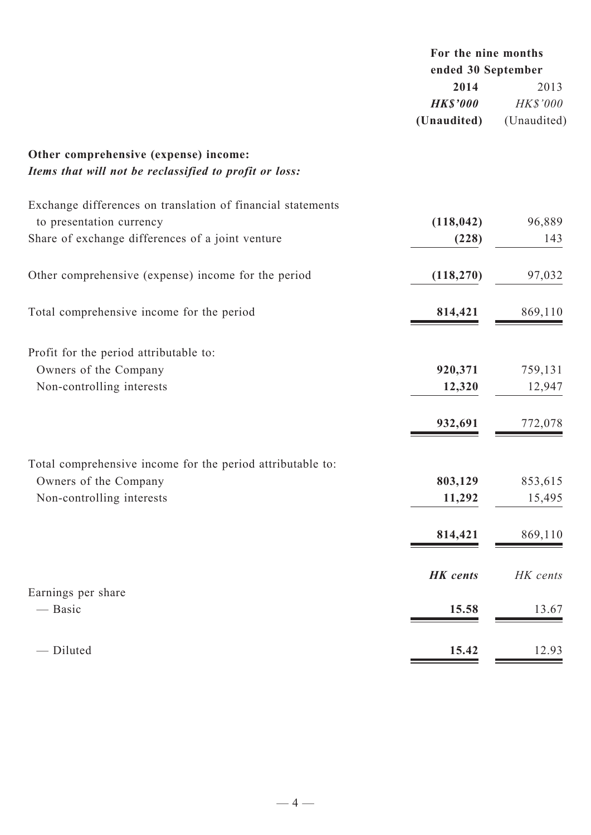|                                                                                                 | For the nine months<br>ended 30 September |                  |
|-------------------------------------------------------------------------------------------------|-------------------------------------------|------------------|
|                                                                                                 | 2014<br><b>HK\$'000</b>                   | 2013<br>HK\$'000 |
|                                                                                                 | (Unaudited)                               | (Unaudited)      |
| Other comprehensive (expense) income:<br>Items that will not be reclassified to profit or loss: |                                           |                  |
| Exchange differences on translation of financial statements                                     |                                           |                  |
| to presentation currency                                                                        | (118, 042)                                | 96,889           |
| Share of exchange differences of a joint venture                                                | (228)                                     | 143              |
| Other comprehensive (expense) income for the period                                             | (118, 270)                                | 97,032           |
| Total comprehensive income for the period                                                       | 814,421                                   | 869,110          |
| Profit for the period attributable to:                                                          |                                           |                  |
| Owners of the Company                                                                           | 920,371                                   | 759,131          |
| Non-controlling interests                                                                       | 12,320                                    | 12,947           |
|                                                                                                 | 932,691                                   | 772,078          |
|                                                                                                 |                                           |                  |
| Total comprehensive income for the period attributable to:                                      |                                           |                  |
| Owners of the Company                                                                           | 803,129                                   | 853,615          |
| Non-controlling interests                                                                       | 11,292                                    | 15,495           |
|                                                                                                 | 814,421                                   | 869,110          |
|                                                                                                 | <b>HK</b> cents                           | HK cents         |
| Earnings per share<br>— Basic                                                                   | 15.58                                     | 13.67            |
|                                                                                                 |                                           |                  |
| - Diluted                                                                                       | 15.42                                     | 12.93            |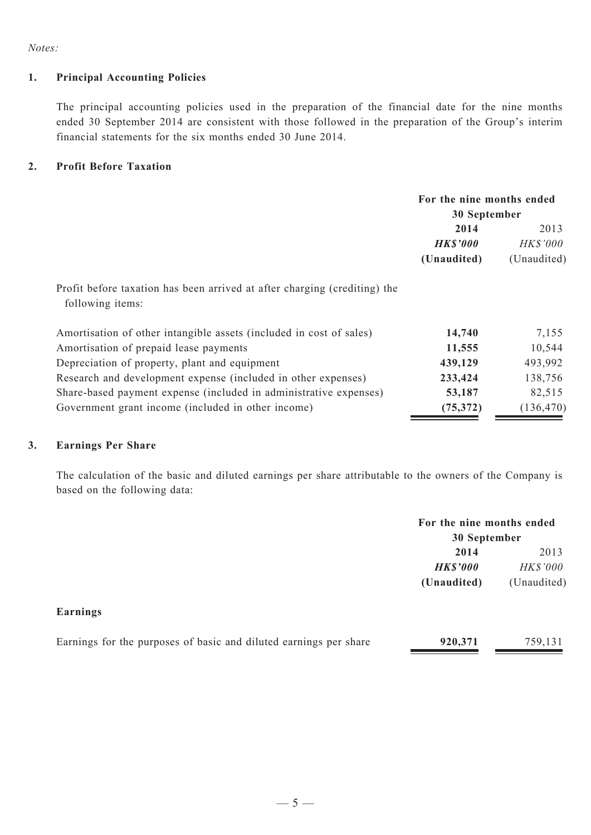*Notes:*

### **1. Principal Accounting Policies**

The principal accounting policies used in the preparation of the financial date for the nine months ended 30 September 2014 are consistent with those followed in the preparation of the Group's interim financial statements for the six months ended 30 June 2014.

#### **2. Profit Before Taxation**

|                                                                                               | For the nine months ended<br>30 September |                 |  |
|-----------------------------------------------------------------------------------------------|-------------------------------------------|-----------------|--|
|                                                                                               |                                           |                 |  |
|                                                                                               | 2014                                      | 2013            |  |
|                                                                                               | <b>HK\$'000</b>                           | <b>HK\$'000</b> |  |
|                                                                                               | (Unaudited)                               | (Unaudited)     |  |
| Profit before taxation has been arrived at after charging (crediting) the<br>following items: |                                           |                 |  |
| Amortisation of other intangible assets (included in cost of sales)                           | 14,740                                    | 7,155           |  |
| Amortisation of prepaid lease payments                                                        | 11,555                                    | 10,544          |  |
| Depreciation of property, plant and equipment                                                 | 439,129                                   | 493,992         |  |
| Research and development expense (included in other expenses)                                 | 233,424                                   | 138,756         |  |
| Share-based payment expense (included in administrative expenses)                             | 53,187                                    | 82,515          |  |
| Government grant income (included in other income)                                            | (75, 372)                                 | (136, 470)      |  |

#### **3. Earnings Per Share**

The calculation of the basic and diluted earnings per share attributable to the owners of the Company is based on the following data:

|                                                                   | For the nine months ended<br>30 September |             |
|-------------------------------------------------------------------|-------------------------------------------|-------------|
|                                                                   | 2014                                      | 2013        |
|                                                                   | <b>HK\$'000</b>                           | HK\$'000    |
|                                                                   | (Unaudited)                               | (Unaudited) |
| Earnings                                                          |                                           |             |
| Earnings for the purposes of basic and diluted earnings per share | 920,371                                   | 759,131     |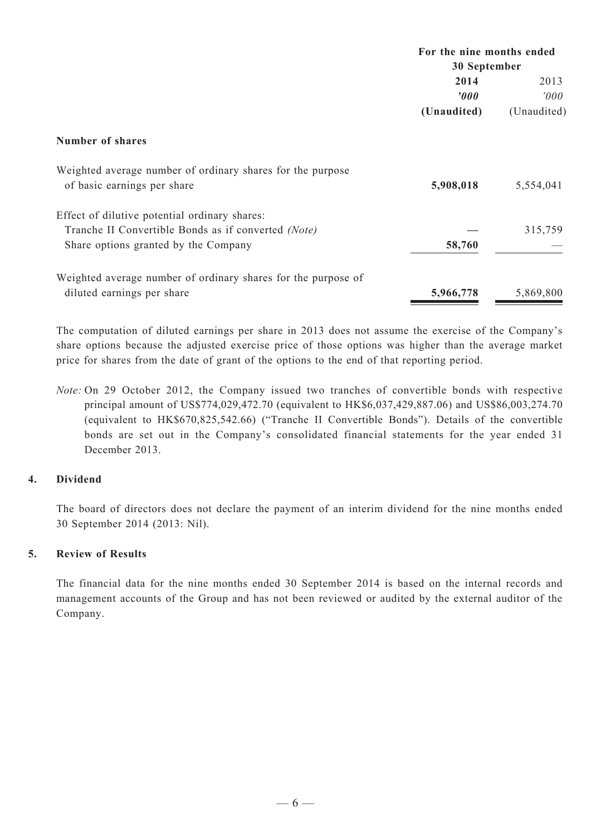|                                                               | For the nine months ended<br>30 September |             |  |
|---------------------------------------------------------------|-------------------------------------------|-------------|--|
|                                                               |                                           |             |  |
|                                                               | 2014                                      | 2013        |  |
|                                                               | $\boldsymbol{v}$                          | 000'        |  |
|                                                               | (Unaudited)                               | (Unaudited) |  |
| Number of shares                                              |                                           |             |  |
| Weighted average number of ordinary shares for the purpose    |                                           |             |  |
| of basic earnings per share                                   | 5,908,018                                 | 5,554,041   |  |
| Effect of dilutive potential ordinary shares:                 |                                           |             |  |
| Tranche II Convertible Bonds as if converted (Note)           |                                           | 315,759     |  |
| Share options granted by the Company                          | 58,760                                    |             |  |
| Weighted average number of ordinary shares for the purpose of |                                           |             |  |
| diluted earnings per share                                    | 5,966,778                                 | 5,869,800   |  |

The computation of diluted earnings per share in 2013 does not assume the exercise of the Company's share options because the adjusted exercise price of those options was higher than the average market price for shares from the date of grant of the options to the end of that reporting period.

*Note:* On 29 October 2012, the Company issued two tranches of convertible bonds with respective principal amount of US\$774,029,472.70 (equivalent to HK\$6,037,429,887.06) and US\$86,003,274.70 (equivalent to HK\$670,825,542.66) ("Tranche II Convertible Bonds"). Details of the convertible bonds are set out in the Company's consolidated financial statements for the year ended 31 December 2013.

# **4. Dividend**

The board of directors does not declare the payment of an interim dividend for the nine months ended 30 September 2014 (2013: Nil).

#### **5. Review of Results**

The financial data for the nine months ended 30 September 2014 is based on the internal records and management accounts of the Group and has not been reviewed or audited by the external auditor of the Company.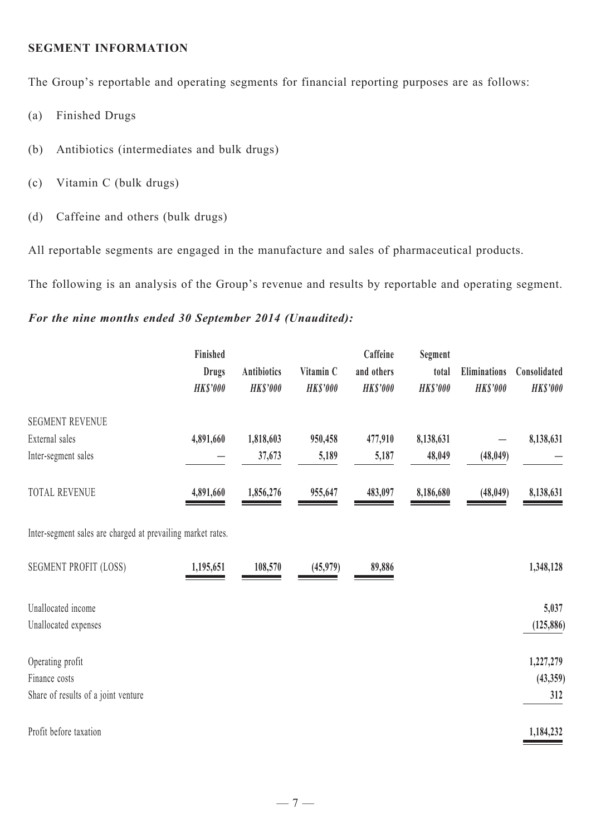#### **SEGMENT INFORMATION**

The Group's reportable and operating segments for financial reporting purposes are as follows:

- (a) Finished Drugs
- (b) Antibiotics (intermediates and bulk drugs)
- (c) Vitamin C (bulk drugs)
- (d) Caffeine and others (bulk drugs)

All reportable segments are engaged in the manufacture and sales of pharmaceutical products.

The following is an analysis of the Group's revenue and results by reportable and operating segment.

# *For the nine months ended 30 September 2014 (Unaudited):*

|                                                             | Finished<br><b>Drugs</b><br><b>HK\$'000</b> | <b>Antibiotics</b><br><b>HK\$'000</b> | Vitamin C<br><b>HK\$'000</b> | Caffeine<br>and others<br><b>HK\$'000</b> | Segment<br>total<br><b>HK\$'000</b> | Eliminations<br><b>HK\$'000</b> | Consolidated<br><b>HK\$'000</b> |
|-------------------------------------------------------------|---------------------------------------------|---------------------------------------|------------------------------|-------------------------------------------|-------------------------------------|---------------------------------|---------------------------------|
| <b>SEGMENT REVENUE</b>                                      |                                             |                                       |                              |                                           |                                     |                                 |                                 |
| External sales                                              | 4,891,660                                   | 1,818,603                             | 950,458                      | 477,910                                   | 8,138,631                           |                                 | 8,138,631                       |
| Inter-segment sales                                         |                                             | 37,673                                | 5,189                        | 5,187                                     | 48,049                              | (48, 049)                       |                                 |
| <b>TOTAL REVENUE</b>                                        | 4,891,660                                   | 1,856,276                             | 955,647                      | 483,097                                   | 8,186,680                           | (48, 049)                       | 8,138,631                       |
| Inter-segment sales are charged at prevailing market rates. |                                             |                                       |                              |                                           |                                     |                                 |                                 |
| <b>SEGMENT PROFIT (LOSS)</b>                                | 1,195,651                                   | 108,570                               | (45,979)                     | 89,886                                    |                                     |                                 | 1,348,128                       |
| Unallocated income                                          |                                             |                                       |                              |                                           |                                     |                                 | 5,037                           |
| Unallocated expenses                                        |                                             |                                       |                              |                                           |                                     |                                 | (125, 886)                      |
| Operating profit                                            |                                             |                                       |                              |                                           |                                     |                                 | 1,227,279                       |
| Finance costs                                               |                                             |                                       |                              |                                           |                                     |                                 | (43,359)                        |
| Share of results of a joint venture                         |                                             |                                       |                              |                                           |                                     |                                 | 312                             |
| Profit before taxation                                      |                                             |                                       |                              |                                           |                                     |                                 | 1,184,232                       |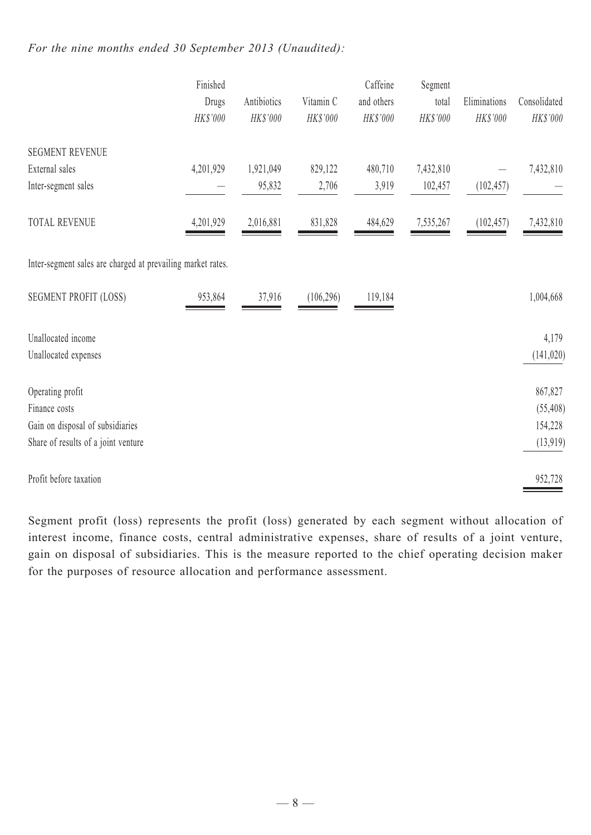# *For the nine months ended 30 September 2013 (Unaudited):*

|                                                             | Finished<br>Drugs<br>HK\$'000 | Antibiotics<br>HK\$'000 | Vitamin C<br>HK\$'000 | Caffeine<br>and others<br>HK\$'000 | Segment<br>total<br>HK\$'000 | Eliminations<br>HK\$'000 | Consolidated<br>HK\$'000 |
|-------------------------------------------------------------|-------------------------------|-------------------------|-----------------------|------------------------------------|------------------------------|--------------------------|--------------------------|
| <b>SEGMENT REVENUE</b>                                      |                               |                         |                       |                                    |                              |                          |                          |
| External sales                                              | 4,201,929                     | 1,921,049               | 829,122               | 480,710                            | 7,432,810                    |                          | 7,432,810                |
| Inter-segment sales                                         |                               | 95,832                  | 2,706                 | 3,919                              | 102,457                      | (102, 457)               |                          |
| TOTAL REVENUE                                               | 4,201,929                     | 2,016,881               | 831,828               | 484,629                            | 7,535,267                    | (102, 457)               | 7,432,810                |
| Inter-segment sales are charged at prevailing market rates. |                               |                         |                       |                                    |                              |                          |                          |
| <b>SEGMENT PROFIT (LOSS)</b>                                | 953,864                       | 37,916                  | (106, 296)            | 119,184                            |                              |                          | 1,004,668                |
| Unallocated income                                          |                               |                         |                       |                                    |                              |                          | 4,179                    |
| Unallocated expenses                                        |                               |                         |                       |                                    |                              |                          | (141, 020)               |
| Operating profit                                            |                               |                         |                       |                                    |                              |                          | 867,827                  |
| Finance costs                                               |                               |                         |                       |                                    |                              |                          | (55, 408)                |
| Gain on disposal of subsidiaries                            |                               |                         |                       |                                    |                              |                          | 154,228                  |
| Share of results of a joint venture                         |                               |                         |                       |                                    |                              |                          | (13, 919)                |
| Profit before taxation                                      |                               |                         |                       |                                    |                              |                          | 952,728                  |

Segment profit (loss) represents the profit (loss) generated by each segment without allocation of interest income, finance costs, central administrative expenses, share of results of a joint venture, gain on disposal of subsidiaries. This is the measure reported to the chief operating decision maker for the purposes of resource allocation and performance assessment.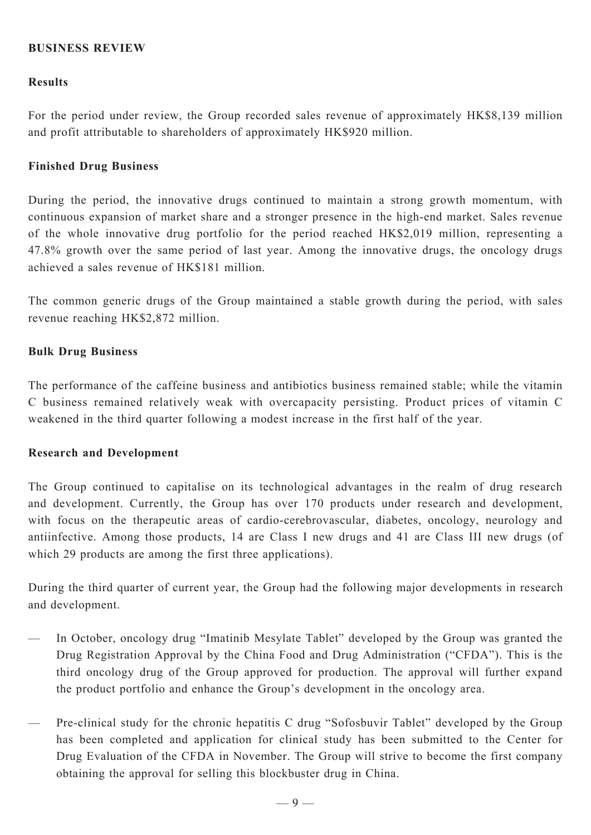# **BUSINESS REVIEW**

# **Results**

For the period under review, the Group recorded sales revenue of approximately HK\$8,139 million and profit attributable to shareholders of approximately HK\$920 million.

# **Finished Drug Business**

During the period, the innovative drugs continued to maintain a strong growth momentum, with continuous expansion of market share and a stronger presence in the high-end market. Sales revenue of the whole innovative drug portfolio for the period reached HK\$2,019 million, representing a 47.8% growth over the same period of last year. Among the innovative drugs, the oncology drugs achieved a sales revenue of HK\$181 million.

The common generic drugs of the Group maintained a stable growth during the period, with sales revenue reaching HK\$2,872 million.

# **Bulk Drug Business**

The performance of the caffeine business and antibiotics business remained stable; while the vitamin C business remained relatively weak with overcapacity persisting. Product prices of vitamin C weakened in the third quarter following a modest increase in the first half of the year.

# **Research and Development**

The Group continued to capitalise on its technological advantages in the realm of drug research and development. Currently, the Group has over 170 products under research and development, with focus on the therapeutic areas of cardio-cerebrovascular, diabetes, oncology, neurology and antiinfective. Among those products, 14 are Class I new drugs and 41 are Class III new drugs (of which 29 products are among the first three applications).

During the third quarter of current year, the Group had the following major developments in research and development.

- In October, oncology drug "Imatinib Mesylate Tablet" developed by the Group was granted the Drug Registration Approval by the China Food and Drug Administration ("CFDA"). This is the third oncology drug of the Group approved for production. The approval will further expand the product portfolio and enhance the Group's development in the oncology area.
- Pre-clinical study for the chronic hepatitis C drug "Sofosbuvir Tablet" developed by the Group has been completed and application for clinical study has been submitted to the Center for Drug Evaluation of the CFDA in November. The Group will strive to become the first company obtaining the approval for selling this blockbuster drug in China.